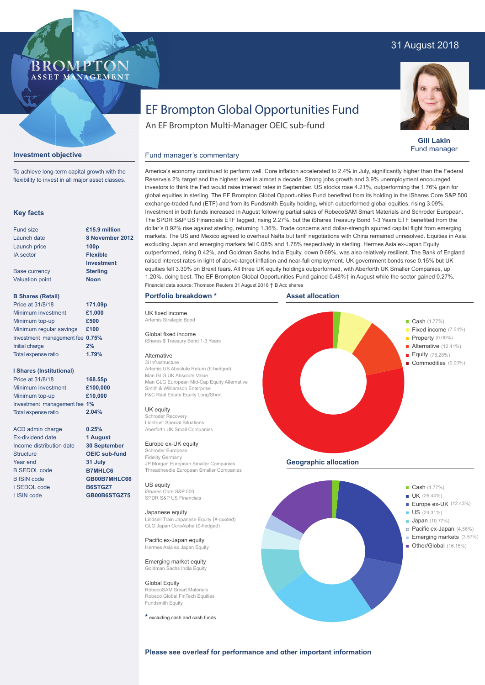## 31 August 2018



**Gill Lakin** Fund manager

# EF Brompton Global Opportunities Fund

An EF Brompton Multi-Manager OEIC sub-fund

#### **Investment objective**

BROMP"

ASSET MANAGEMENT

To achieve long-term capital growth with the flexibility to invest in all major asset classes.

#### **Key facts**

| Fund size              | £15.9 million     |
|------------------------|-------------------|
| Launch date            | 8 November 20     |
| Launch price           | 100 <sub>p</sub>  |
| <b>IA</b> sector       | <b>Flexible</b>   |
|                        | <b>Investment</b> |
| <b>Base currency</b>   | <b>Sterling</b>   |
| <b>Valuation point</b> | <b>Noon</b>       |
|                        |                   |

#### **B Shares (Retail)**

| Price at 31/8/18                | 171.09p |
|---------------------------------|---------|
| Minimum investment              | £1,000  |
| Minimum top-up                  | £500    |
| Minimum regular savings         | £100    |
| Investment management fee 0.75% |         |
| Initial charge                  | 2%      |
| Total expense ratio             | 1.79%   |

#### **I Shares (Institutional)**

| Price at 31/8/18             | 168.55p  |
|------------------------------|----------|
| Minimum investment           | £100,000 |
| Minimum top-up               | £10,000  |
| Investment management fee 1% |          |
| <b>Total expense ratio</b>   | 2.04%    |

**0.25% 1 August 30 September OEIC sub-fund 31 July B7MHLC6 GB00B7MHLC66 B6STGZ7 GB00B6STGZ75**

ACD admin charge Ex-dividend date Income distribution date **Structure** Year end B SEDOL code B ISIN code I SEDOL code I ISIN code

Investment in both funds increased in August following partial sales of RobecoSAM Smart Materials and Schroder European. The SPDR S&P US Financials ETF lagged, rising 2.27%, but the iShares Treasury Bond 1-3 Years ETF benefited from the dollar's 0.92% rise against sterling, returning 1.36%. Trade concerns and dollar-strength spurred capital flight from emerging markets. The US and Mexico agreed to overhaul Nafta but tariff negotiations with China remained unresolved. Equities in Asia excluding Japan and emerging markets fell 0.08% and 1.78% respectively in sterling. Hermes Asia ex-Japan Equity outperformed, rising 0.42%, and Goldman Sachs India Equity, down 0.69%, was also relatively resilient. The Bank of England raised interest rates in light of above-target inflation and near-full employment. UK government bonds rose 0.15% but UK equities fell 3.30% on Brexit fears. All three UK equity holdings outperformed, with Aberforth UK Smaller Companies, up 1.20%, doing best. The EF Brompton Global Opportunities Fund gained 0.48%† in August while the sector gained 0.27%. **8 November 2012**

#### **Portfolio breakdown \*** Financial data source: Thomson Reuters 31 August 2018 † B Acc shares

Fund manager's commentary

UK fixed income Artemis Strategic Bond Global fixed income

Alternative 3i Infrastructure

UK equity Schroder Recovery Liontrust Special Situations

US equity iShares Core S&P 500 SPDR S&P US Financials

**Japanese equity**<br>Lindsell Train Japan

Man GLG UK Absolute Value

Europe ex-UK equity Schroder Europea Fidelity Germany

**Asset allocation**

America's economy continued to perform well. Core inflation accelerated to 2.4% in July, significantly higher than the Federal Reserve's 2% target and the highest level in almost a decade. Strong jobs growth and 3.9% unemployment encouraged investors to think the Fed would raise interest rates in September. US stocks rose 4.21%, outperforming the 1.76% gain for global equities in sterling. The EF Brompton Global Opportunities Fund benefited from its holding in the iShares Core S&P 500 exchange-traded fund (ETF) and from its Fundsmith Equity holding, which outperformed global equities, rising 3.09%.



Hermes Asia ex Japan Equity Emerging market equity Goldman Sachs India Equity

Pacific ex-Japan equity

Global Equity RobecoSAM Smart Materials Robeco Global FinTech Equities Fundsmith Equity

**\*** excluding cash and cash funds